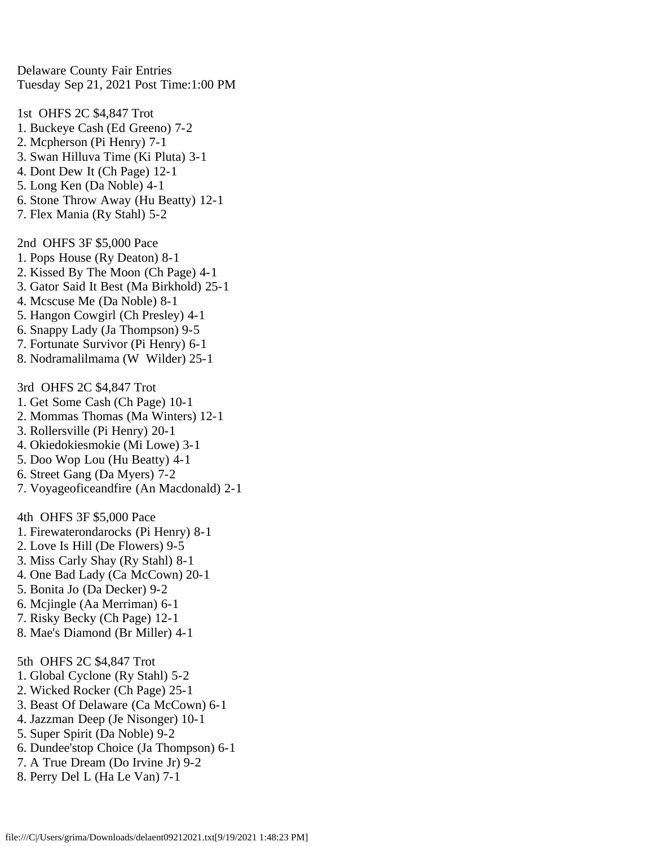Delaware County Fair Entries Tuesday Sep 21, 2021 Post Time:1:00 PM

1st OHFS 2C \$4,847 Trot 1. Buckeye Cash (Ed Greeno) 7-2 2. Mcpherson (Pi Henry) 7-1 3. Swan Hilluva Time (Ki Pluta) 3-1 4. Dont Dew It (Ch Page) 12-1 5. Long Ken (Da Noble) 4-1 6. Stone Throw Away (Hu Beatty) 12-1 7. Flex Mania (Ry Stahl) 5-2

2nd OHFS 3F \$5,000 Pace

- 1. Pops House (Ry Deaton) 8-1
- 2. Kissed By The Moon (Ch Page) 4-1
- 3. Gator Said It Best (Ma Birkhold) 25-1
- 4. Mcscuse Me (Da Noble) 8-1
- 5. Hangon Cowgirl (Ch Presley) 4-1
- 6. Snappy Lady (Ja Thompson) 9-5
- 7. Fortunate Survivor (Pi Henry) 6-1
- 8. Nodramalilmama (W Wilder) 25-1
- 3rd OHFS 2C \$4,847 Trot
- 1. Get Some Cash (Ch Page) 10-1
- 2. Mommas Thomas (Ma Winters) 12-1
- 3. Rollersville (Pi Henry) 20-1
- 4. Okiedokiesmokie (Mi Lowe) 3-1
- 5. Doo Wop Lou (Hu Beatty) 4-1
- 6. Street Gang (Da Myers) 7-2
- 7. Voyageoficeandfire (An Macdonald) 2-1

4th OHFS 3F \$5,000 Pace

- 1. Firewaterondarocks (Pi Henry) 8-1
- 2. Love Is Hill (De Flowers) 9-5
- 3. Miss Carly Shay (Ry Stahl) 8-1
- 4. One Bad Lady (Ca McCown) 20-1
- 5. Bonita Jo (Da Decker) 9-2
- 6. Mcjingle (Aa Merriman) 6-1
- 7. Risky Becky (Ch Page) 12-1
- 8. Mae's Diamond (Br Miller) 4-1

5th OHFS 2C \$4,847 Trot

- 1. Global Cyclone (Ry Stahl) 5-2
- 2. Wicked Rocker (Ch Page) 25-1
- 3. Beast Of Delaware (Ca McCown) 6-1
- 4. Jazzman Deep (Je Nisonger) 10-1
- 5. Super Spirit (Da Noble) 9-2
- 6. Dundee'stop Choice (Ja Thompson) 6-1
- 7. A True Dream (Do Irvine Jr) 9-2
- 8. Perry Del L (Ha Le Van) 7-1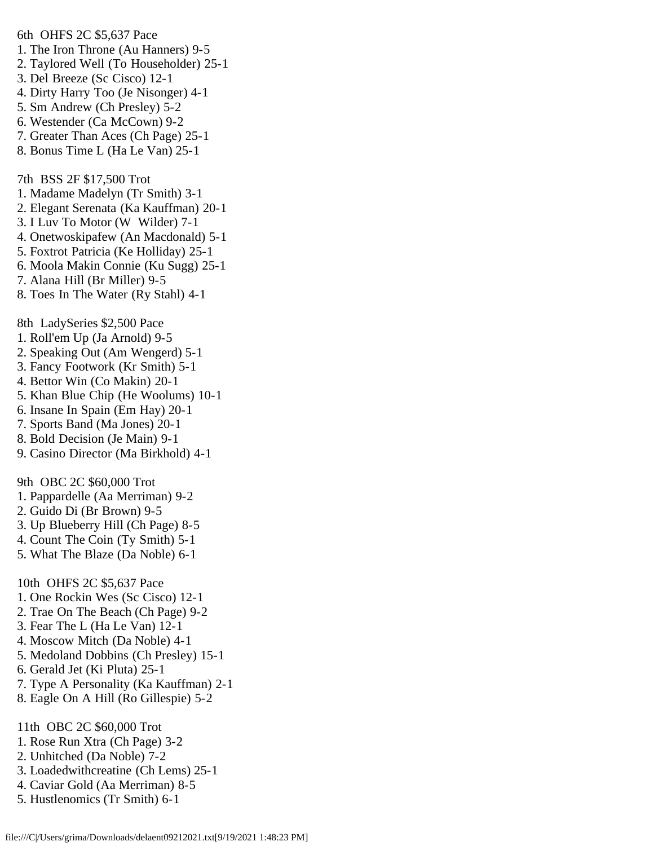1. The Iron Throne (Au Hanners) 9-5 2. Taylored Well (To Householder) 25-1 3. Del Breeze (Sc Cisco) 12-1 4. Dirty Harry Too (Je Nisonger) 4-1 5. Sm Andrew (Ch Presley) 5-2 6. Westender (Ca McCown) 9-2 7. Greater Than Aces (Ch Page) 25-1 8. Bonus Time L (Ha Le Van) 25-1 7th BSS 2F \$17,500 Trot 1. Madame Madelyn (Tr Smith) 3-1 2. Elegant Serenata (Ka Kauffman) 20-1 3. I Luv To Motor (W Wilder) 7-1 4. Onetwoskipafew (An Macdonald) 5-1 5. Foxtrot Patricia (Ke Holliday) 25-1 6. Moola Makin Connie (Ku Sugg) 25-1 7. Alana Hill (Br Miller) 9-5 8. Toes In The Water (Ry Stahl) 4-1 8th LadySeries \$2,500 Pace 1. Roll'em Up (Ja Arnold) 9-5 2. Speaking Out (Am Wengerd) 5-1 3. Fancy Footwork (Kr Smith) 5-1 4. Bettor Win (Co Makin) 20-1 5. Khan Blue Chip (He Woolums) 10-1 6. Insane In Spain (Em Hay) 20-1 7. Sports Band (Ma Jones) 20-1 8. Bold Decision (Je Main) 9-1 9. Casino Director (Ma Birkhold) 4-1 9th OBC 2C \$60,000 Trot 1. Pappardelle (Aa Merriman) 9-2 2. Guido Di (Br Brown) 9-5 3. Up Blueberry Hill (Ch Page) 8-5 4. Count The Coin (Ty Smith) 5-1 5. What The Blaze (Da Noble) 6-1 10th OHFS 2C \$5,637 Pace 1. One Rockin Wes (Sc Cisco) 12-1 2. Trae On The Beach (Ch Page) 9-2 3. Fear The L (Ha Le Van) 12-1 4. Moscow Mitch (Da Noble) 4-1 5. Medoland Dobbins (Ch Presley) 15-1 6. Gerald Jet (Ki Pluta) 25-1 7. Type A Personality (Ka Kauffman) 2-1 8. Eagle On A Hill (Ro Gillespie) 5-2 11th OBC 2C \$60,000 Trot 1. Rose Run Xtra (Ch Page) 3-2 2. Unhitched (Da Noble) 7-2 3. Loadedwithcreatine (Ch Lems) 25-1

6th OHFS 2C \$5,637 Pace

- 4. Caviar Gold (Aa Merriman) 8-5
- 5. Hustlenomics (Tr Smith) 6-1